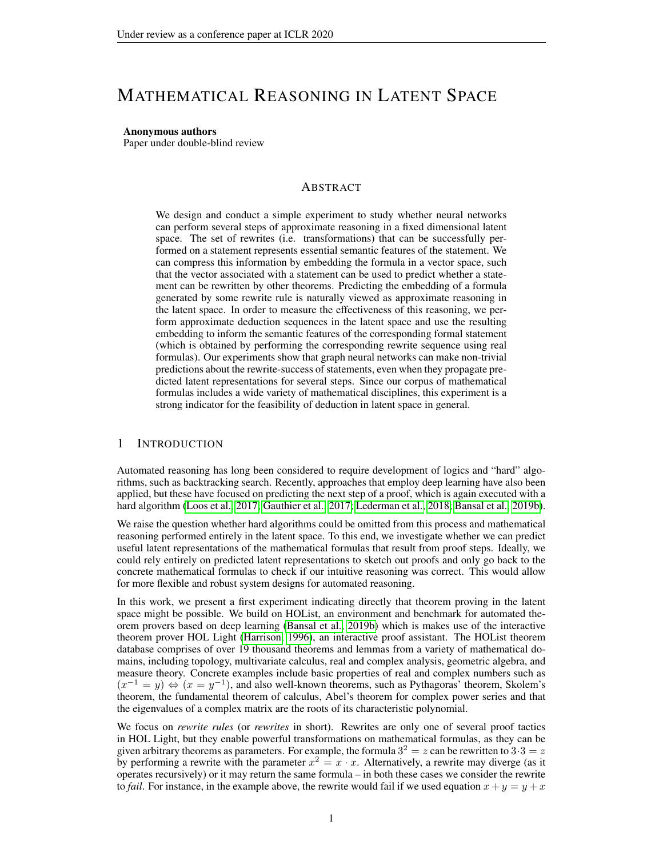# MATHEMATICAL REASONING IN LATENT SPACE

#### Anonymous authors

Paper under double-blind review

### ABSTRACT

We design and conduct a simple experiment to study whether neural networks can perform several steps of approximate reasoning in a fixed dimensional latent space. The set of rewrites (i.e. transformations) that can be successfully performed on a statement represents essential semantic features of the statement. We can compress this information by embedding the formula in a vector space, such that the vector associated with a statement can be used to predict whether a statement can be rewritten by other theorems. Predicting the embedding of a formula generated by some rewrite rule is naturally viewed as approximate reasoning in the latent space. In order to measure the effectiveness of this reasoning, we perform approximate deduction sequences in the latent space and use the resulting embedding to inform the semantic features of the corresponding formal statement (which is obtained by performing the corresponding rewrite sequence using real formulas). Our experiments show that graph neural networks can make non-trivial predictions about the rewrite-success of statements, even when they propagate predicted latent representations for several steps. Since our corpus of mathematical formulas includes a wide variety of mathematical disciplines, this experiment is a strong indicator for the feasibility of deduction in latent space in general.

# 1 INTRODUCTION

Automated reasoning has long been considered to require development of logics and "hard" algorithms, such as backtracking search. Recently, approaches that employ deep learning have also been applied, but these have focused on predicting the next step of a proof, which is again executed with a hard algorithm [\(Loos et al., 2017;](#page-8-0) [Gauthier et al., 2017;](#page-8-1) [Lederman et al., 2018;](#page-8-2) [Bansal et al., 2019b\)](#page-8-3).

We raise the question whether hard algorithms could be omitted from this process and mathematical reasoning performed entirely in the latent space. To this end, we investigate whether we can predict useful latent representations of the mathematical formulas that result from proof steps. Ideally, we could rely entirely on predicted latent representations to sketch out proofs and only go back to the concrete mathematical formulas to check if our intuitive reasoning was correct. This would allow for more flexible and robust system designs for automated reasoning.

In this work, we present a first experiment indicating directly that theorem proving in the latent space might be possible. We build on HOList, an environment and benchmark for automated theorem provers based on deep learning [\(Bansal et al., 2019b\)](#page-8-3) which is makes use of the interactive theorem prover HOL Light [\(Harrison, 1996\)](#page-8-4), an interactive proof assistant. The HOList theorem database comprises of over 19 thousand theorems and lemmas from a variety of mathematical domains, including topology, multivariate calculus, real and complex analysis, geometric algebra, and measure theory. Concrete examples include basic properties of real and complex numbers such as  $(x^{-1} = y) \Leftrightarrow (x = y^{-1})$ , and also well-known theorems, such as Pythagoras' theorem, Skolem's theorem, the fundamental theorem of calculus, Abel's theorem for complex power series and that the eigenvalues of a complex matrix are the roots of its characteristic polynomial.

We focus on *rewrite rules* (or *rewrites* in short). Rewrites are only one of several proof tactics in HOL Light, but they enable powerful transformations on mathematical formulas, as they can be given arbitrary theorems as parameters. For example, the formula  $3^2 = z$  can be rewritten to  $3 \cdot 3 = z$ by performing a rewrite with the parameter  $x^2 = x \cdot x$ . Alternatively, a rewrite may diverge (as it operates recursively) or it may return the same formula – in both these cases we consider the rewrite to *fail*. For instance, in the example above, the rewrite would fail if we used equation  $x + y = y + x$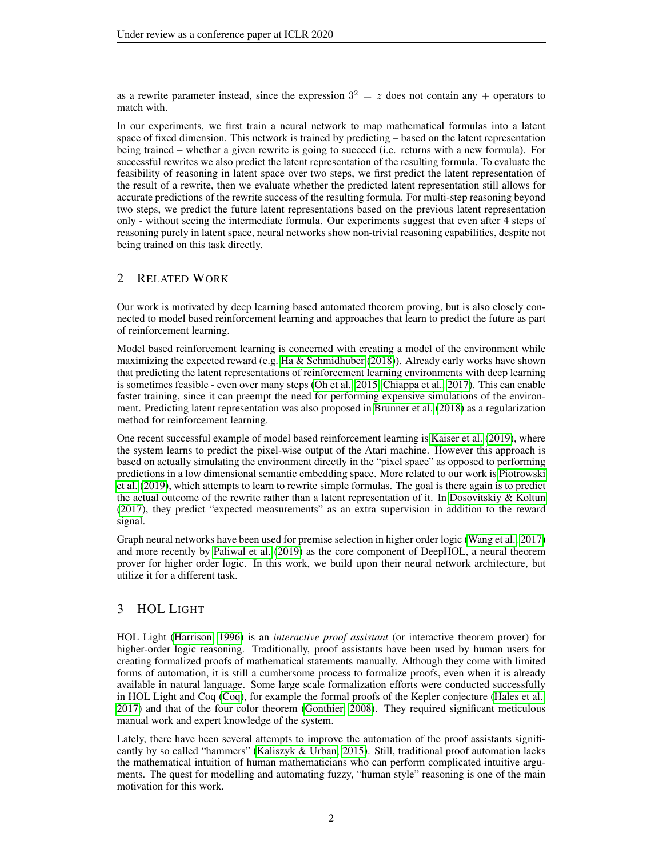as a rewrite parameter instead, since the expression  $3^2 = z$  does not contain any + operators to match with.

In our experiments, we first train a neural network to map mathematical formulas into a latent space of fixed dimension. This network is trained by predicting – based on the latent representation being trained – whether a given rewrite is going to succeed (i.e. returns with a new formula). For successful rewrites we also predict the latent representation of the resulting formula. To evaluate the feasibility of reasoning in latent space over two steps, we first predict the latent representation of the result of a rewrite, then we evaluate whether the predicted latent representation still allows for accurate predictions of the rewrite success of the resulting formula. For multi-step reasoning beyond two steps, we predict the future latent representations based on the previous latent representation only - without seeing the intermediate formula. Our experiments suggest that even after 4 steps of reasoning purely in latent space, neural networks show non-trivial reasoning capabilities, despite not being trained on this task directly.

# 2 RELATED WORK

Our work is motivated by deep learning based automated theorem proving, but is also closely connected to model based reinforcement learning and approaches that learn to predict the future as part of reinforcement learning.

Model based reinforcement learning is concerned with creating a model of the environment while maximizing the expected reward (e.g. Ha  $\&$  Schmidhuber [\(2018\)](#page-8-5)). Already early works have shown that predicting the latent representations of reinforcement learning environments with deep learning is sometimes feasible - even over many steps [\(Oh et al., 2015;](#page-8-6) [Chiappa et al., 2017\)](#page-8-7). This can enable faster training, since it can preempt the need for performing expensive simulations of the environment. Predicting latent representation was also proposed in [Brunner et al.](#page-8-8) [\(2018\)](#page-8-8) as a regularization method for reinforcement learning.

One recent successful example of model based reinforcement learning is [Kaiser et al.](#page-8-9) [\(2019\)](#page-8-9), where the system learns to predict the pixel-wise output of the Atari machine. However this approach is based on actually simulating the environment directly in the "pixel space" as opposed to performing predictions in a low dimensional semantic embedding space. More related to our work is [Piotrowski](#page-9-0) [et al.](#page-9-0) [\(2019\)](#page-9-0), which attempts to learn to rewrite simple formulas. The goal is there again is to predict the actual outcome of the rewrite rather than a latent representation of it. In [Dosovitskiy & Koltun](#page-8-10) [\(2017\)](#page-8-10), they predict "expected measurements" as an extra supervision in addition to the reward signal.

Graph neural networks have been used for premise selection in higher order logic [\(Wang et al., 2017\)](#page-9-1) and more recently by [Paliwal et al.](#page-9-2) [\(2019\)](#page-9-2) as the core component of DeepHOL, a neural theorem prover for higher order logic. In this work, we build upon their neural network architecture, but utilize it for a different task.

# 3 HOL LIGHT

HOL Light [\(Harrison, 1996\)](#page-8-4) is an *interactive proof assistant* (or interactive theorem prover) for higher-order logic reasoning. Traditionally, proof assistants have been used by human users for creating formalized proofs of mathematical statements manually. Although they come with limited forms of automation, it is still a cumbersome process to formalize proofs, even when it is already available in natural language. Some large scale formalization efforts were conducted successfully in HOL Light and Coq [\(Coq\)](#page-8-11), for example the formal proofs of the Kepler conjecture [\(Hales et al.,](#page-8-12) [2017\)](#page-8-12) and that of the four color theorem [\(Gonthier, 2008\)](#page-8-13). They required significant meticulous manual work and expert knowledge of the system.

Lately, there have been several attempts to improve the automation of the proof assistants significantly by so called "hammers" [\(Kaliszyk & Urban, 2015\)](#page-8-14). Still, traditional proof automation lacks the mathematical intuition of human mathematicians who can perform complicated intuitive arguments. The quest for modelling and automating fuzzy, "human style" reasoning is one of the main motivation for this work.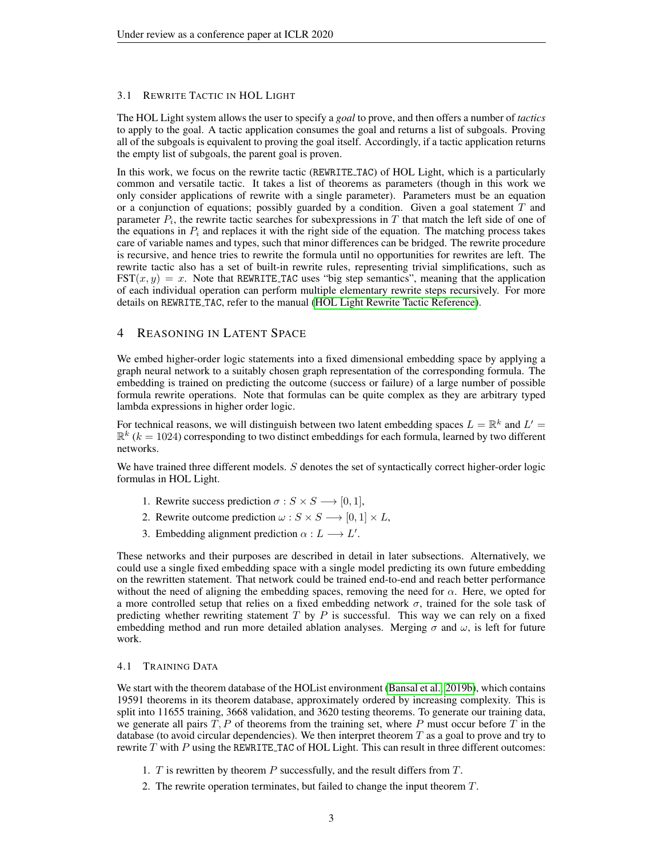#### 3.1 REWRITE TACTIC IN HOL LIGHT

The HOL Light system allows the user to specify a *goal* to prove, and then offers a number of *tactics* to apply to the goal. A tactic application consumes the goal and returns a list of subgoals. Proving all of the subgoals is equivalent to proving the goal itself. Accordingly, if a tactic application returns the empty list of subgoals, the parent goal is proven.

In this work, we focus on the rewrite tactic (REWRITE TAC) of HOL Light, which is a particularly common and versatile tactic. It takes a list of theorems as parameters (though in this work we only consider applications of rewrite with a single parameter). Parameters must be an equation or a conjunction of equations; possibly guarded by a condition. Given a goal statement  $T$  and parameter  $P_i$ , the rewrite tactic searches for subexpressions in T that match the left side of one of the equations in  $P_i$  and replaces it with the right side of the equation. The matching process takes care of variable names and types, such that minor differences can be bridged. The rewrite procedure is recursive, and hence tries to rewrite the formula until no opportunities for rewrites are left. The rewrite tactic also has a set of built-in rewrite rules, representing trivial simplifications, such as  $\text{FST}(x, y) = x$ . Note that REWRITE TAC uses "big step semantics", meaning that the application of each individual operation can perform multiple elementary rewrite steps recursively. For more details on REWRITE TAC, refer to the manual [\(HOL Light Rewrite Tactic Reference\)](#page-8-15).

### 4 REASONING IN LATENT SPACE

We embed higher-order logic statements into a fixed dimensional embedding space by applying a graph neural network to a suitably chosen graph representation of the corresponding formula. The embedding is trained on predicting the outcome (success or failure) of a large number of possible formula rewrite operations. Note that formulas can be quite complex as they are arbitrary typed lambda expressions in higher order logic.

For technical reasons, we will distinguish between two latent embedding spaces  $L = \mathbb{R}^k$  and  $L' =$  $\mathbb{R}^k$  ( $k = 1024$ ) corresponding to two distinct embeddings for each formula, learned by two different networks.

We have trained three different models. S denotes the set of syntactically correct higher-order logic formulas in HOL Light.

- 1. Rewrite success prediction  $\sigma : S \times S \longrightarrow [0, 1],$
- 2. Rewrite outcome prediction  $\omega : S \times S \longrightarrow [0, 1] \times L$ ,
- 3. Embedding alignment prediction  $\alpha : L \longrightarrow L'$ .

These networks and their purposes are described in detail in later subsections. Alternatively, we could use a single fixed embedding space with a single model predicting its own future embedding on the rewritten statement. That network could be trained end-to-end and reach better performance without the need of aligning the embedding spaces, removing the need for  $\alpha$ . Here, we opted for a more controlled setup that relies on a fixed embedding network  $\sigma$ , trained for the sole task of predicting whether rewriting statement  $T$  by  $P$  is successful. This way we can rely on a fixed embedding method and run more detailed ablation analyses. Merging  $\sigma$  and  $\omega$ , is left for future work.

#### 4.1 TRAINING DATA

We start with the theorem database of the HOList environment [\(Bansal et al., 2019b\)](#page-8-3), which contains 19591 theorems in its theorem database, approximately ordered by increasing complexity. This is split into 11655 training, 3668 validation, and 3620 testing theorems. To generate our training data, we generate all pairs  $T$ ,  $P$  of theorems from the training set, where  $P$  must occur before  $T$  in the database (to avoid circular dependencies). We then interpret theorem  $T$  as a goal to prove and try to rewrite  $T$  with  $P$  using the REWRITE TAC of HOL Light. This can result in three different outcomes:

- 1. T is rewritten by theorem  $P$  successfully, and the result differs from  $T$ .
- 2. The rewrite operation terminates, but failed to change the input theorem T.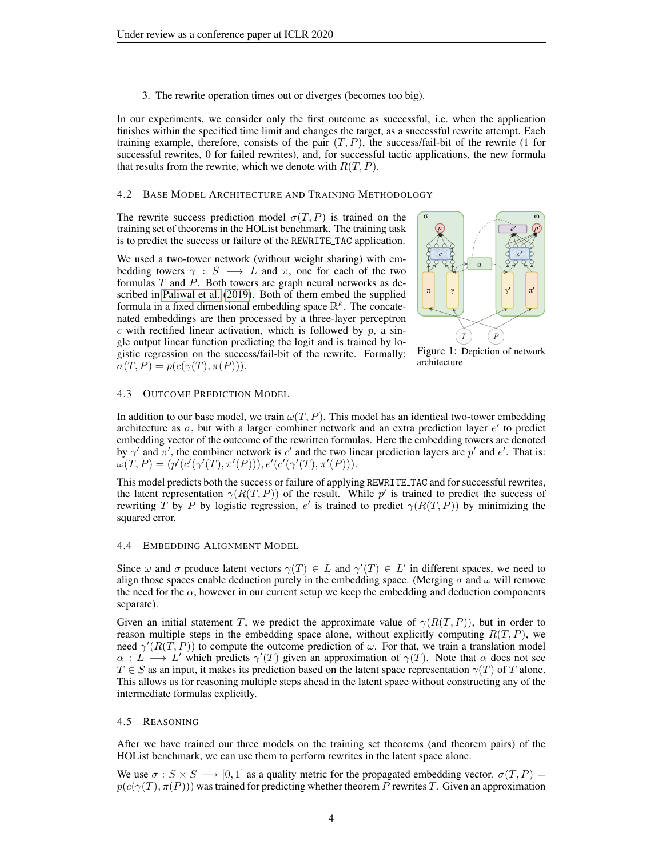3. The rewrite operation times out or diverges (becomes too big).

In our experiments, we consider only the first outcome as successful, i.e. when the application finishes within the specified time limit and changes the target, as a successful rewrite attempt. Each training example, therefore, consists of the pair  $(T, P)$ , the success/fail-bit of the rewrite (1 for successful rewrites, 0 for failed rewrites), and, for successful tactic applications, the new formula that results from the rewrite, which we denote with  $R(T, P)$ .

#### 4.2 BASE MODEL ARCHITECTURE AND TRAINING METHODOLOGY

The rewrite success prediction model  $\sigma(T, P)$  is trained on the training set of theorems in the HOList benchmark. The training task is to predict the success or failure of the REWRITE TAC application.

We used a two-tower network (without weight sharing) with embedding towers  $\gamma : S \longrightarrow L$  and  $\pi$ , one for each of the two formulas  $T$  and  $P$ . Both towers are graph neural networks as described in [Paliwal et al.](#page-9-2) [\(2019\)](#page-9-2). Both of them embed the supplied formula in a fixed dimensional embedding space  $\mathbb{R}^k$ . The concatenated embeddings are then processed by a three-layer perceptron  $c$  with rectified linear activation, which is followed by  $p$ , a single output linear function predicting the logit and is trained by logistic regression on the success/fail-bit of the rewrite. Formally:  $\sigma(T, P) = p(c(\gamma(T), \pi(P))).$ 



Figure 1: Depiction of network architecture

#### 4.3 OUTCOME PREDICTION MODEL

In addition to our base model, we train  $\omega(T, P)$ . This model has an identical two-tower embedding architecture as  $\sigma$ , but with a larger combiner network and an extra prediction layer  $e'$  to predict embedding vector of the outcome of the rewritten formulas. Here the embedding towers are denoted by  $\gamma'$  and  $\pi'$ , the combiner network is c' and the two linear prediction layers are p' and e'. That is:  $\omega(T, P) = (p'(c'(\gamma'(T), \pi'(P))), e'(c'(\gamma'(T), \pi'(P))).$ 

This model predicts both the success or failure of applying REWRITE TAC and for successful rewrites, the latent representation  $\gamma(R(T, P))$  of the result. While p' is trained to predict the success of rewriting T by P by logistic regression, e' is trained to predict  $\gamma(R(T, P))$  by minimizing the squared error.

#### 4.4 EMBEDDING ALIGNMENT MODEL

Since  $\omega$  and  $\sigma$  produce latent vectors  $\gamma(T) \in L$  and  $\gamma'(T) \in L'$  in different spaces, we need to align those spaces enable deduction purely in the embedding space. (Merging  $\sigma$  and  $\omega$  will remove the need for the  $\alpha$ , however in our current setup we keep the embedding and deduction components separate).

Given an initial statement T, we predict the approximate value of  $\gamma(R(T, P))$ , but in order to reason multiple steps in the embedding space alone, without explicitly computing  $R(T, P)$ , we need  $\gamma'(R(\tilde{T}, P))$  to compute the outcome prediction of  $\omega$ . For that, we train a translation model  $\alpha : L \longrightarrow L'$  which predicts  $\gamma'(T)$  given an approximation of  $\gamma(T)$ . Note that  $\alpha$  does not see  $T \in S$  as an input, it makes its prediction based on the latent space representation  $\gamma(T)$  of T alone. This allows us for reasoning multiple steps ahead in the latent space without constructing any of the intermediate formulas explicitly.

#### <span id="page-3-0"></span>4.5 REASONING

After we have trained our three models on the training set theorems (and theorem pairs) of the HOList benchmark, we can use them to perform rewrites in the latent space alone.

We use  $\sigma : S \times S \longrightarrow [0, 1]$  as a quality metric for the propagated embedding vector.  $\sigma(T, P)$  =  $p(c(\gamma(T), \pi(P)))$  was trained for predicting whether theorem P rewrites T. Given an approximation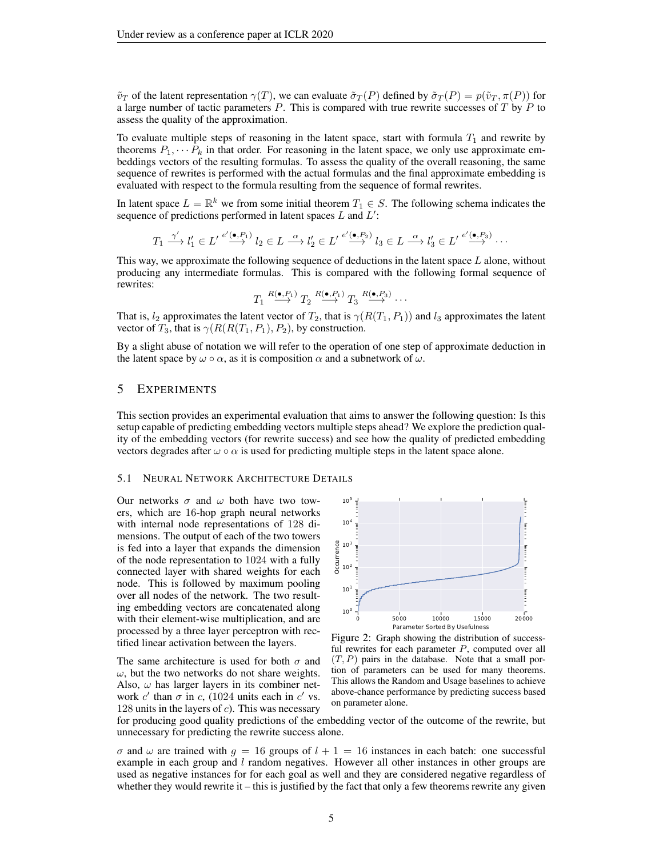$\tilde{v}_T$  of the latent representation  $\gamma(T)$ , we can evaluate  $\tilde{\sigma}_T(P)$  defined by  $\tilde{\sigma}_T(P) = p(\tilde{v}_T, \pi(P))$  for a large number of tactic parameters  $P$ . This is compared with true rewrite successes of  $T$  by  $P$  to assess the quality of the approximation.

To evaluate multiple steps of reasoning in the latent space, start with formula  $T_1$  and rewrite by theorems  $P_1, \cdots, P_k$  in that order. For reasoning in the latent space, we only use approximate embeddings vectors of the resulting formulas. To assess the quality of the overall reasoning, the same sequence of rewrites is performed with the actual formulas and the final approximate embedding is evaluated with respect to the formula resulting from the sequence of formal rewrites.

In latent space  $L = \mathbb{R}^k$  we from some initial theorem  $T_1 \in S$ . The following schema indicates the sequence of predictions performed in latent spaces  $L$  and  $L'$ :

$$
T_1 \xrightarrow{\gamma'} l'_1 \in L' \xrightarrow{e'(\bullet, P_1)} l_2 \in L \xrightarrow{\alpha} l'_2 \in L' \xrightarrow{e'(\bullet, P_2)} l_3 \in L \xrightarrow{\alpha} l'_3 \in L' \xrightarrow{e'(\bullet, P_3)} \cdots
$$

This way, we approximate the following sequence of deductions in the latent space  $L$  alone, without producing any intermediate formulas. This is compared with the following formal sequence of rewrites:

$$
T_1 \stackrel{R(\bullet,P_1)}{\longrightarrow} T_2 \stackrel{R(\bullet,P_1)}{\longrightarrow} T_3 \stackrel{R(\bullet,P_3)}{\longrightarrow} \cdots
$$

That is,  $l_2$  approximates the latent vector of  $T_2$ , that is  $\gamma(R(T_1, P_1))$  and  $l_3$  approximates the latent vector of  $T_3$ , that is  $\gamma(R(R(T_1, P_1), P_2))$ , by construction.

By a slight abuse of notation we will refer to the operation of one step of approximate deduction in the latent space by  $\omega \circ \alpha$ , as it is composition  $\alpha$  and a subnetwork of  $\omega$ .

### 5 EXPERIMENTS

This section provides an experimental evaluation that aims to answer the following question: Is this setup capable of predicting embedding vectors multiple steps ahead? We explore the prediction quality of the embedding vectors (for rewrite success) and see how the quality of predicted embedding vectors degrades after  $\omega \circ \alpha$  is used for predicting multiple steps in the latent space alone.

#### 5.1 NEURAL NETWORK ARCHITECTURE DETAILS

Our networks  $\sigma$  and  $\omega$  both have two towers, which are 16-hop graph neural networks with internal node representations of 128 dimensions. The output of each of the two towers is fed into a layer that expands the dimension of the node representation to 1024 with a fully connected layer with shared weights for each node. This is followed by maximum pooling over all nodes of the network. The two resulting embedding vectors are concatenated along with their element-wise multiplication, and are processed by a three layer perceptron with rectified linear activation between the layers.

The same architecture is used for both  $\sigma$  and  $\omega$ , but the two networks do not share weights. Also,  $\omega$  has larger layers in its combiner network c' than  $\sigma$  in c, (1024 units each in c' vs. 128 units in the layers of  $c$ ). This was necessary

<span id="page-4-0"></span>

Figure 2: Graph showing the distribution of successful rewrites for each parameter  $P$ , computed over all  $(T, P)$  pairs in the database. Note that a small portion of parameters can be used for many theorems. This allows the Random and Usage baselines to achieve above-chance performance by predicting success based on parameter alone.

for producing good quality predictions of the embedding vector of the outcome of the rewrite, but unnecessary for predicting the rewrite success alone.

 $\sigma$  and  $\omega$  are trained with  $g = 16$  groups of  $l + 1 = 16$  instances in each batch: one successful example in each group and  $l$  random negatives. However all other instances in other groups are used as negative instances for for each goal as well and they are considered negative regardless of whether they would rewrite it – this is justified by the fact that only a few theorems rewrite any given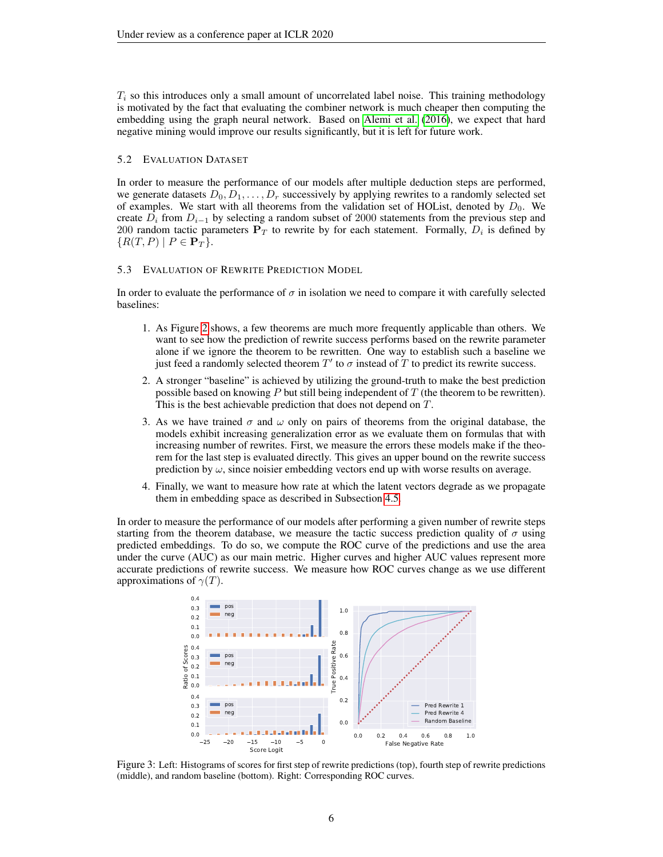$T_i$  so this introduces only a small amount of uncorrelated label noise. This training methodology is motivated by the fact that evaluating the combiner network is much cheaper then computing the embedding using the graph neural network. Based on [Alemi et al.](#page-8-16) [\(2016\)](#page-8-16), we expect that hard negative mining would improve our results significantly, but it is left for future work.

#### 5.2 EVALUATION DATASET

In order to measure the performance of our models after multiple deduction steps are performed, we generate datasets  $D_0, D_1, \ldots, D_r$  successively by applying rewrites to a randomly selected set of examples. We start with all theorems from the validation set of HOList, denoted by  $D_0$ . We create  $D_i$  from  $D_{i-1}$  by selecting a random subset of 2000 statements from the previous step and 200 random tactic parameters  $P_T$  to rewrite by for each statement. Formally,  $D_i$  is defined by  ${R(T, P) | P \in \mathbf{P}_T}.$ 

#### 5.3 EVALUATION OF REWRITE PREDICTION MODEL

In order to evaluate the performance of  $\sigma$  in isolation we need to compare it with carefully selected baselines:

- 1. As Figure [2](#page-4-0) shows, a few theorems are much more frequently applicable than others. We want to see how the prediction of rewrite success performs based on the rewrite parameter alone if we ignore the theorem to be rewritten. One way to establish such a baseline we just feed a randomly selected theorem  $T'$  to  $\sigma$  instead of  $\overline{T}$  to predict its rewrite success.
- 2. A stronger "baseline" is achieved by utilizing the ground-truth to make the best prediction possible based on knowing  $P$  but still being independent of  $T$  (the theorem to be rewritten). This is the best achievable prediction that does not depend on T.
- 3. As we have trained  $\sigma$  and  $\omega$  only on pairs of theorems from the original database, the models exhibit increasing generalization error as we evaluate them on formulas that with increasing number of rewrites. First, we measure the errors these models make if the theorem for the last step is evaluated directly. This gives an upper bound on the rewrite success prediction by  $\omega$ , since noisier embedding vectors end up with worse results on average.
- 4. Finally, we want to measure how rate at which the latent vectors degrade as we propagate them in embedding space as described in Subsection [4.5.](#page-3-0)

In order to measure the performance of our models after performing a given number of rewrite steps starting from the theorem database, we measure the tactic success prediction quality of  $\sigma$  using predicted embeddings. To do so, we compute the ROC curve of the predictions and use the area under the curve (AUC) as our main metric. Higher curves and higher AUC values represent more accurate predictions of rewrite success. We measure how ROC curves change as we use different approximations of  $\gamma(T)$ .

<span id="page-5-0"></span>

Figure 3: Left: Histograms of scores for first step of rewrite predictions (top), fourth step of rewrite predictions (middle), and random baseline (bottom). Right: Corresponding ROC curves.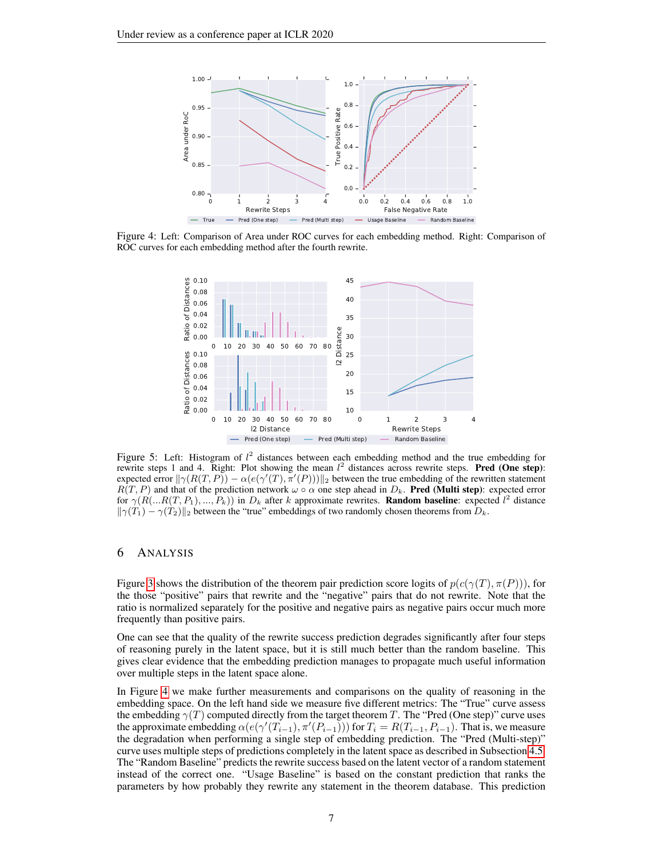<span id="page-6-0"></span>

<span id="page-6-1"></span>Figure 4: Left: Comparison of Area under ROC curves for each embedding method. Right: Comparison of ROC curves for each embedding method after the fourth rewrite.



Figure 5: Left: Histogram of  $l^2$  distances between each embedding method and the true embedding for rewrite steps 1 and 4. Right: Plot showing the mean  $l^2$  distances across rewrite steps. Pred (One step): expected error  $\|\gamma(R(T, P)) - \alpha(e(\gamma'(T), \pi'(P)))\|_2$  between the true embedding of the rewritten statement  $R(T, P)$  and that of the prediction network  $\omega \circ \alpha$  one step ahead in  $D_k$ . **Pred (Multi step)**: expected error for  $\gamma(R(...R(T, P_1), ..., P_k))$  in  $D_k$  after k approximate rewrites. **Random baseline**: expected  $l^2$  distance  $\|\gamma(T_1) - \gamma(T_2)\|_2$  between the "true" embeddings of two randomly chosen theorems from  $D_k$ .

# 6 ANALYSIS

Figure [3](#page-5-0) shows the distribution of the theorem pair prediction score logits of  $p(c(\gamma(T), \pi(P))),$  for the those "positive" pairs that rewrite and the "negative" pairs that do not rewrite. Note that the ratio is normalized separately for the positive and negative pairs as negative pairs occur much more frequently than positive pairs.

One can see that the quality of the rewrite success prediction degrades significantly after four steps of reasoning purely in the latent space, but it is still much better than the random baseline. This gives clear evidence that the embedding prediction manages to propagate much useful information over multiple steps in the latent space alone.

In Figure [4](#page-6-0) we make further measurements and comparisons on the quality of reasoning in the embedding space. On the left hand side we measure five different metrics: The "True" curve assess the embedding  $\gamma(T)$  computed directly from the target theorem T. The "Pred (One step)" curve uses the approximate embedding  $\alpha(e(\gamma'(T_{i-1}), \pi'(P_{i-1})))$  for  $T_i = R(T_{i-1}, P_{i-1})$ . That is, we measure the degradation when performing a single step of embedding prediction. The "Pred (Multi-step)" curve uses multiple steps of predictions completely in the latent space as described in Subsection [4.5.](#page-3-0) The "Random Baseline" predicts the rewrite success based on the latent vector of a random statement instead of the correct one. "Usage Baseline" is based on the constant prediction that ranks the parameters by how probably they rewrite any statement in the theorem database. This prediction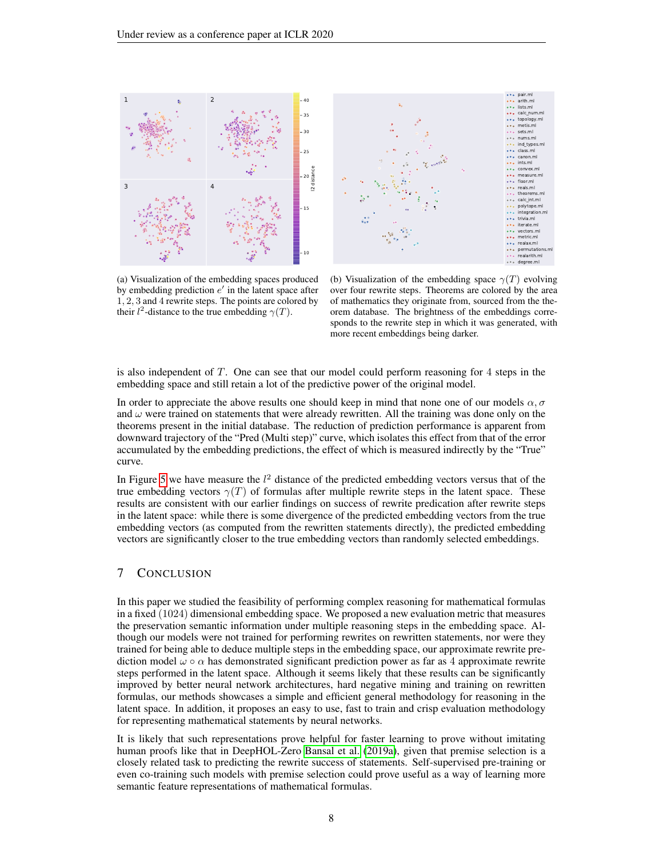



(a) Visualization of the embedding spaces produced by embedding prediction  $e'$  in the latent space after 1, 2, 3 and 4 rewrite steps. The points are colored by their  $l^2$ -distance to the true embedding  $\gamma(T)$ .

(b) Visualization of the embedding space  $\gamma(T)$  evolving over four rewrite steps. Theorems are colored by the area of mathematics they originate from, sourced from the theorem database. The brightness of the embeddings corresponds to the rewrite step in which it was generated, with more recent embeddings being darker.

is also independent of T. One can see that our model could perform reasoning for 4 steps in the embedding space and still retain a lot of the predictive power of the original model.

In order to appreciate the above results one should keep in mind that none one of our models  $\alpha, \sigma$ and  $\omega$  were trained on statements that were already rewritten. All the training was done only on the theorems present in the initial database. The reduction of prediction performance is apparent from downward trajectory of the "Pred (Multi step)" curve, which isolates this effect from that of the error accumulated by the embedding predictions, the effect of which is measured indirectly by the "True" curve.

In Figure [5](#page-6-1) we have measure the  $l^2$  distance of the predicted embedding vectors versus that of the true embedding vectors  $\gamma(T)$  of formulas after multiple rewrite steps in the latent space. These results are consistent with our earlier findings on success of rewrite predication after rewrite steps in the latent space: while there is some divergence of the predicted embedding vectors from the true embedding vectors (as computed from the rewritten statements directly), the predicted embedding vectors are significantly closer to the true embedding vectors than randomly selected embeddings.

# 7 CONCLUSION

In this paper we studied the feasibility of performing complex reasoning for mathematical formulas in a fixed (1024) dimensional embedding space. We proposed a new evaluation metric that measures the preservation semantic information under multiple reasoning steps in the embedding space. Although our models were not trained for performing rewrites on rewritten statements, nor were they trained for being able to deduce multiple steps in the embedding space, our approximate rewrite prediction model  $\omega \circ \alpha$  has demonstrated significant prediction power as far as 4 approximate rewrite steps performed in the latent space. Although it seems likely that these results can be significantly improved by better neural network architectures, hard negative mining and training on rewritten formulas, our methods showcases a simple and efficient general methodology for reasoning in the latent space. In addition, it proposes an easy to use, fast to train and crisp evaluation methodology for representing mathematical statements by neural networks.

It is likely that such representations prove helpful for faster learning to prove without imitating human proofs like that in DeepHOL-Zero [Bansal et al.](#page-8-17) [\(2019a\)](#page-8-17), given that premise selection is a closely related task to predicting the rewrite success of statements. Self-supervised pre-training or even co-training such models with premise selection could prove useful as a way of learning more semantic feature representations of mathematical formulas.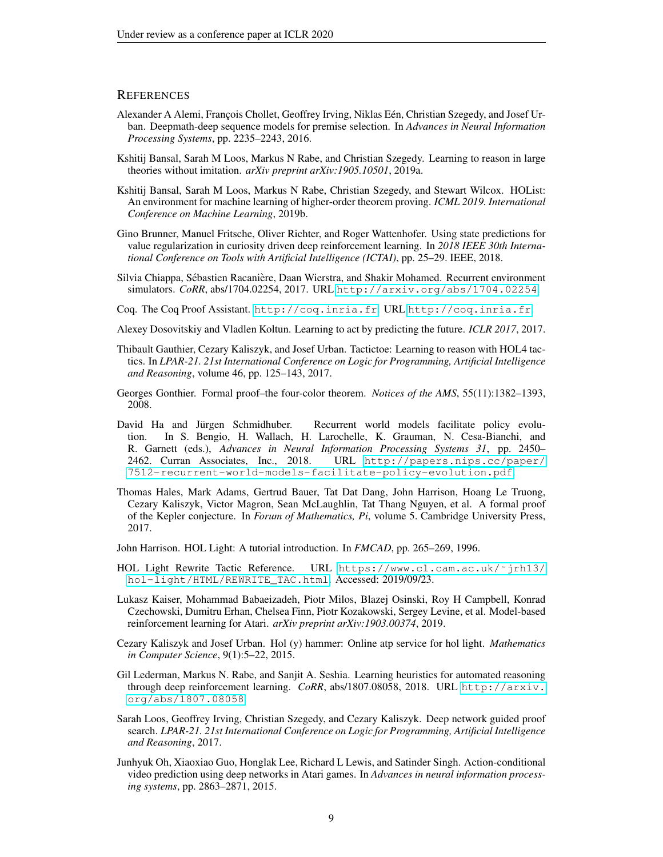#### **REFERENCES**

- <span id="page-8-16"></span>Alexander A Alemi, François Chollet, Geoffrey Irving, Niklas Eén, Christian Szegedy, and Josef Urban. Deepmath-deep sequence models for premise selection. In *Advances in Neural Information Processing Systems*, pp. 2235–2243, 2016.
- <span id="page-8-17"></span>Kshitij Bansal, Sarah M Loos, Markus N Rabe, and Christian Szegedy. Learning to reason in large theories without imitation. *arXiv preprint arXiv:1905.10501*, 2019a.
- <span id="page-8-3"></span>Kshitij Bansal, Sarah M Loos, Markus N Rabe, Christian Szegedy, and Stewart Wilcox. HOList: An environment for machine learning of higher-order theorem proving. *ICML 2019. International Conference on Machine Learning*, 2019b.
- <span id="page-8-8"></span>Gino Brunner, Manuel Fritsche, Oliver Richter, and Roger Wattenhofer. Using state predictions for value regularization in curiosity driven deep reinforcement learning. In *2018 IEEE 30th International Conference on Tools with Artificial Intelligence (ICTAI)*, pp. 25–29. IEEE, 2018.
- <span id="page-8-7"></span>Silvia Chiappa, Sébastien Racanière, Daan Wierstra, and Shakir Mohamed. Recurrent environment simulators. *CoRR*, abs/1704.02254, 2017. URL <http://arxiv.org/abs/1704.02254>.
- <span id="page-8-11"></span>Coq. The Coq Proof Assistant. <http://coq.inria.fr>. URL <http://coq.inria.fr>.
- <span id="page-8-10"></span>Alexey Dosovitskiy and Vladlen Koltun. Learning to act by predicting the future. *ICLR 2017*, 2017.
- <span id="page-8-1"></span>Thibault Gauthier, Cezary Kaliszyk, and Josef Urban. Tactictoe: Learning to reason with HOL4 tactics. In *LPAR-21. 21st International Conference on Logic for Programming, Artificial Intelligence and Reasoning*, volume 46, pp. 125–143, 2017.
- <span id="page-8-13"></span>Georges Gonthier. Formal proof–the four-color theorem. *Notices of the AMS*, 55(11):1382–1393, 2008.
- <span id="page-8-5"></span>David Ha and Jürgen Schmidhuber. Recurrent world models facilitate policy evolution. In S. Bengio, H. Wallach, H. Larochelle, K. Grauman, N. Cesa-Bianchi, and R. Garnett (eds.), *Advances in Neural Information Processing Systems 31*, pp. 2450– 2462. Curran Associates, Inc., 2018. URL [http://papers.nips.cc/paper/](http://papers.nips.cc/paper/7512-recurrent-world-models-facilitate-policy-evolution.pdf) [7512-recurrent-world-models-facilitate-policy-evolution.pdf](http://papers.nips.cc/paper/7512-recurrent-world-models-facilitate-policy-evolution.pdf).
- <span id="page-8-12"></span>Thomas Hales, Mark Adams, Gertrud Bauer, Tat Dat Dang, John Harrison, Hoang Le Truong, Cezary Kaliszyk, Victor Magron, Sean McLaughlin, Tat Thang Nguyen, et al. A formal proof of the Kepler conjecture. In *Forum of Mathematics, Pi*, volume 5. Cambridge University Press, 2017.
- <span id="page-8-4"></span>John Harrison. HOL Light: A tutorial introduction. In *FMCAD*, pp. 265–269, 1996.
- <span id="page-8-15"></span>HOL Light Rewrite Tactic Reference. URL [https://www.cl.cam.ac.uk/˜jrh13/](https://www.cl.cam.ac.uk/~jrh13/hol-light/HTML/REWRITE_TAC.html) [hol-light/HTML/REWRITE\\_TAC.html](https://www.cl.cam.ac.uk/~jrh13/hol-light/HTML/REWRITE_TAC.html). Accessed: 2019/09/23.
- <span id="page-8-9"></span>Lukasz Kaiser, Mohammad Babaeizadeh, Piotr Milos, Blazej Osinski, Roy H Campbell, Konrad Czechowski, Dumitru Erhan, Chelsea Finn, Piotr Kozakowski, Sergey Levine, et al. Model-based reinforcement learning for Atari. *arXiv preprint arXiv:1903.00374*, 2019.
- <span id="page-8-14"></span>Cezary Kaliszyk and Josef Urban. Hol (y) hammer: Online atp service for hol light. *Mathematics in Computer Science*, 9(1):5–22, 2015.
- <span id="page-8-2"></span>Gil Lederman, Markus N. Rabe, and Sanjit A. Seshia. Learning heuristics for automated reasoning through deep reinforcement learning. *CoRR*, abs/1807.08058, 2018. URL [http://arxiv.](http://arxiv.org/abs/1807.08058) [org/abs/1807.08058](http://arxiv.org/abs/1807.08058).
- <span id="page-8-0"></span>Sarah Loos, Geoffrey Irving, Christian Szegedy, and Cezary Kaliszyk. Deep network guided proof search. *LPAR-21. 21st International Conference on Logic for Programming, Artificial Intelligence and Reasoning*, 2017.
- <span id="page-8-6"></span>Junhyuk Oh, Xiaoxiao Guo, Honglak Lee, Richard L Lewis, and Satinder Singh. Action-conditional video prediction using deep networks in Atari games. In *Advances in neural information processing systems*, pp. 2863–2871, 2015.